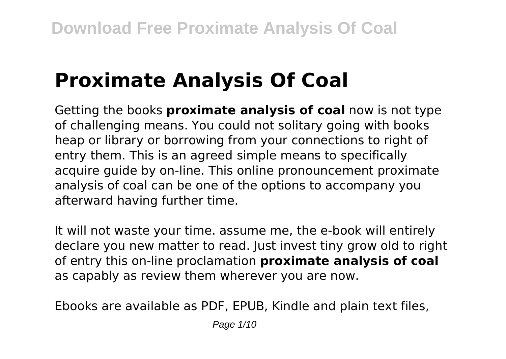# **Proximate Analysis Of Coal**

Getting the books **proximate analysis of coal** now is not type of challenging means. You could not solitary going with books heap or library or borrowing from your connections to right of entry them. This is an agreed simple means to specifically acquire quide by on-line. This online pronouncement proximate analysis of coal can be one of the options to accompany you afterward having further time.

It will not waste your time. assume me, the e-book will entirely declare you new matter to read. Just invest tiny grow old to right of entry this on-line proclamation **proximate analysis of coal** as capably as review them wherever you are now.

Ebooks are available as PDF, EPUB, Kindle and plain text files,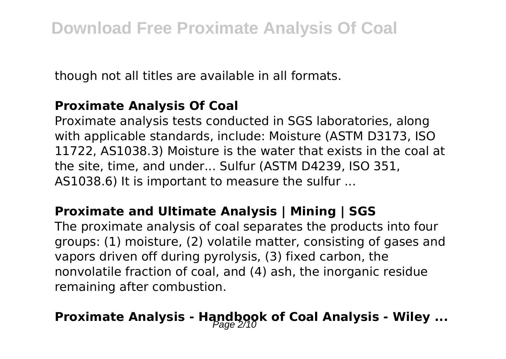though not all titles are available in all formats.

#### **Proximate Analysis Of Coal**

Proximate analysis tests conducted in SGS laboratories, along with applicable standards, include: Moisture (ASTM D3173, ISO 11722, AS1038.3) Moisture is the water that exists in the coal at the site, time, and under... Sulfur (ASTM D4239, ISO 351, AS1038.6) It is important to measure the sulfur ...

#### **Proximate and Ultimate Analysis | Mining | SGS**

The proximate analysis of coal separates the products into four groups: (1) moisture, (2) volatile matter, consisting of gases and vapors driven off during pyrolysis, (3) fixed carbon, the nonvolatile fraction of coal, and (4) ash, the inorganic residue remaining after combustion.

## **Proximate Analysis - Handbook of Coal Analysis - Wiley ...**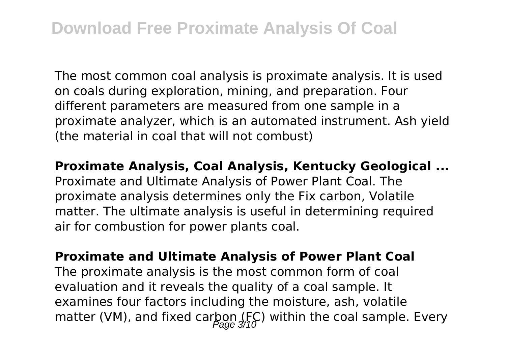The most common coal analysis is proximate analysis. It is used on coals during exploration, mining, and preparation. Four different parameters are measured from one sample in a proximate analyzer, which is an automated instrument. Ash yield (the material in coal that will not combust)

**Proximate Analysis, Coal Analysis, Kentucky Geological ...** Proximate and Ultimate Analysis of Power Plant Coal. The proximate analysis determines only the Fix carbon, Volatile matter. The ultimate analysis is useful in determining required air for combustion for power plants coal.

**Proximate and Ultimate Analysis of Power Plant Coal** The proximate analysis is the most common form of coal evaluation and it reveals the quality of a coal sample. It examines four factors including the moisture, ash, volatile matter (VM), and fixed carbon (FC) within the coal sample. Every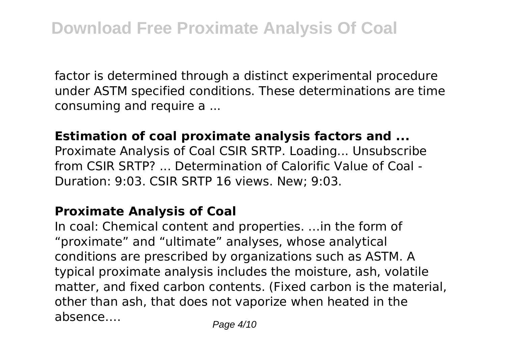factor is determined through a distinct experimental procedure under ASTM specified conditions. These determinations are time consuming and require a ...

#### **Estimation of coal proximate analysis factors and ...**

Proximate Analysis of Coal CSIR SRTP. Loading... Unsubscribe from CSIR SRTP? ... Determination of Calorific Value of Coal - Duration: 9:03. CSIR SRTP 16 views. New; 9:03.

#### **Proximate Analysis of Coal**

In coal: Chemical content and properties. …in the form of "proximate" and "ultimate" analyses, whose analytical conditions are prescribed by organizations such as ASTM. A typical proximate analysis includes the moisture, ash, volatile matter, and fixed carbon contents. (Fixed carbon is the material, other than ash, that does not vaporize when heated in the absence.... Page 4/10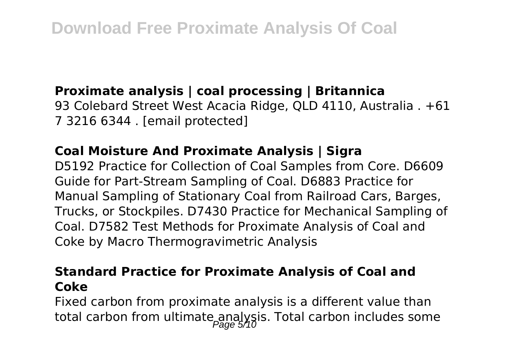#### **Proximate analysis | coal processing | Britannica**

93 Colebard Street West Acacia Ridge, QLD 4110, Australia . +61 7 3216 6344 . [email protected]

#### **Coal Moisture And Proximate Analysis | Sigra**

D5192 Practice for Collection of Coal Samples from Core. D6609 Guide for Part-Stream Sampling of Coal. D6883 Practice for Manual Sampling of Stationary Coal from Railroad Cars, Barges, Trucks, or Stockpiles. D7430 Practice for Mechanical Sampling of Coal. D7582 Test Methods for Proximate Analysis of Coal and Coke by Macro Thermogravimetric Analysis

#### **Standard Practice for Proximate Analysis of Coal and Coke**

Fixed carbon from proximate analysis is a different value than total carbon from ultimate analysis. Total carbon includes some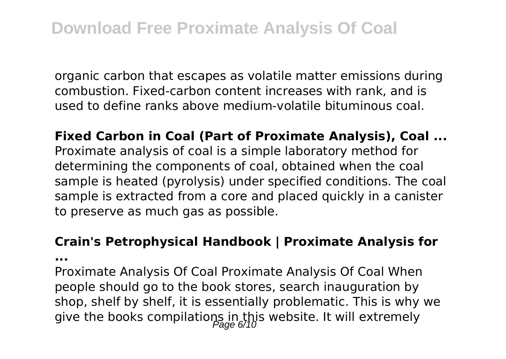organic carbon that escapes as volatile matter emissions during combustion. Fixed-carbon content increases with rank, and is used to define ranks above medium-volatile bituminous coal.

**Fixed Carbon in Coal (Part of Proximate Analysis), Coal ...** Proximate analysis of coal is a simple laboratory method for determining the components of coal, obtained when the coal sample is heated (pyrolysis) under specified conditions. The coal sample is extracted from a core and placed quickly in a canister to preserve as much gas as possible.

#### **Crain's Petrophysical Handbook | Proximate Analysis for**

**...**

Proximate Analysis Of Coal Proximate Analysis Of Coal When people should go to the book stores, search inauguration by shop, shelf by shelf, it is essentially problematic. This is why we give the books compilations in this website. It will extremely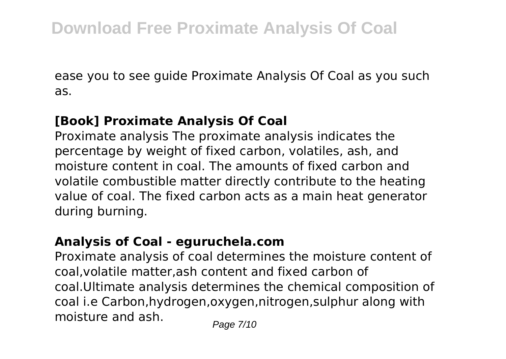ease you to see guide Proximate Analysis Of Coal as you such as.

#### **[Book] Proximate Analysis Of Coal**

Proximate analysis The proximate analysis indicates the percentage by weight of fixed carbon, volatiles, ash, and moisture content in coal. The amounts of fixed carbon and volatile combustible matter directly contribute to the heating value of coal. The fixed carbon acts as a main heat generator during burning.

#### **Analysis of Coal - eguruchela.com**

Proximate analysis of coal determines the moisture content of coal,volatile matter,ash content and fixed carbon of coal.Ultimate analysis determines the chemical composition of coal i.e Carbon,hydrogen,oxygen,nitrogen,sulphur along with moisture and ash.  $P_{\text{face } 7/10}$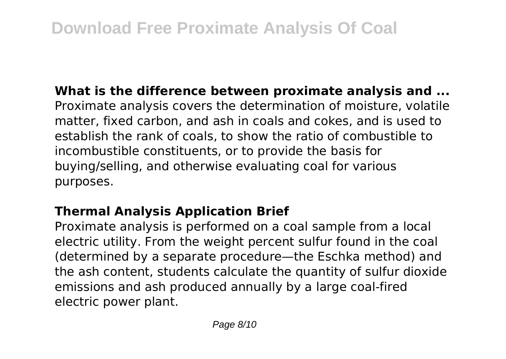**What is the difference between proximate analysis and ...** Proximate analysis covers the determination of moisture, volatile matter, fixed carbon, and ash in coals and cokes, and is used to establish the rank of coals, to show the ratio of combustible to incombustible constituents, or to provide the basis for buying/selling, and otherwise evaluating coal for various purposes.

#### **Thermal Analysis Application Brief**

Proximate analysis is performed on a coal sample from a local electric utility. From the weight percent sulfur found in the coal (determined by a separate procedure—the Eschka method) and the ash content, students calculate the quantity of sulfur dioxide emissions and ash produced annually by a large coal-fired electric power plant.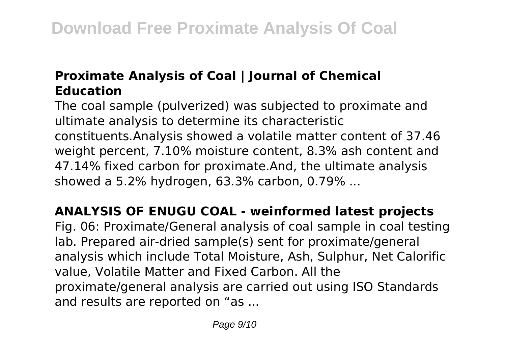#### **Proximate Analysis of Coal | Journal of Chemical Education**

The coal sample (pulverized) was subjected to proximate and ultimate analysis to determine its characteristic constituents.Analysis showed a volatile matter content of 37.46 weight percent, 7.10% moisture content, 8.3% ash content and 47.14% fixed carbon for proximate.And, the ultimate analysis showed a 5.2% hydrogen, 63.3% carbon, 0.79% ...

**ANALYSIS OF ENUGU COAL - weinformed latest projects** Fig. 06: Proximate/General analysis of coal sample in coal testing lab. Prepared air-dried sample(s) sent for proximate/general analysis which include Total Moisture, Ash, Sulphur, Net Calorific value, Volatile Matter and Fixed Carbon. All the proximate/general analysis are carried out using ISO Standards and results are reported on "as ...